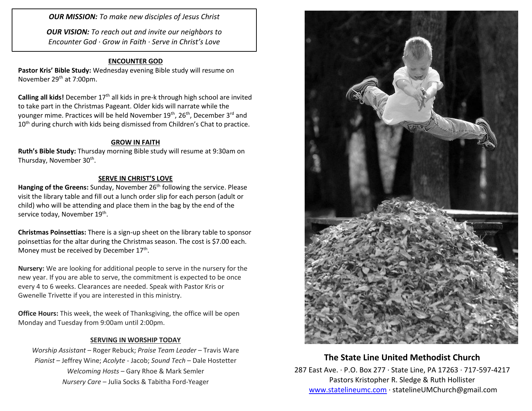*OUR MISSION: To make new disciples of Jesus Christ*

*OUR VISION: To reach out and invite our neighbors to Encounter God · Grow in Faith · Serve in Christ's Love*

### **ENCOUNTER GOD**

**Pastor Kris' Bible Study:** Wednesday evening Bible study will resume on November 29th at 7:00pm.

**Calling all kids!** December 17<sup>th</sup> all kids in pre-k through high school are invited to take part in the Christmas Pageant. Older kids will narrate while the younger mime. Practices will be held November 19<sup>th</sup>, 26<sup>th</sup>, December 3<sup>rd</sup> and 10<sup>th</sup> during church with kids being dismissed from Children's Chat to practice.

#### **GROW IN FAITH**

**Ruth's Bible Study:** Thursday morning Bible study will resume at 9:30am on Thursday, November 30<sup>th</sup>.

#### **SERVE IN CHRIST'S LOVE**

Hanging of the Greens: Sunday, November 26<sup>th</sup> following the service. Please visit the library table and fill out a lunch order slip for each person (adult or child) who will be attending and place them in the bag by the end of the service today, November 19<sup>th</sup>.

**Christmas Poinsettias:** There is a sign-up sheet on the library table to sponsor poinsettias for the altar during the Christmas season. The cost is \$7.00 each. Money must be received by December 17<sup>th</sup>.

**Nursery:** We are looking for additional people to serve in the nursery for the new year. If you are able to serve, the commitment is expected to be once every 4 to 6 weeks. Clearances are needed. Speak with Pastor Kris or Gwenelle Trivette if you are interested in this ministry.

**Office Hours:** This week, the week of Thanksgiving, the office will be open Monday and Tuesday from 9:00am until 2:00pm.

#### **SERVING IN WORSHIP TODAY**

*Worship Assistant* – Roger Rebuck; *Praise Team Leader* – Travis Ware *Pianist* – Jeffrey Wine; *Acolyte* - Jacob; *Sound Tech* – Dale Hostetter *Welcoming Hosts* – Gary Rhoe & Mark Semler *Nursery Care* – Julia Socks & Tabitha Ford-Yeager



## **The State Line United Methodist Church**

287 East Ave. · P.O. Box 277 · State Line, PA 17263 · 717-597-4217 Pastors Kristopher R. Sledge & Ruth Hollister [www.statelineumc.com](http://www.statelineumc.com/) · statelineUMChurch@gmail.com